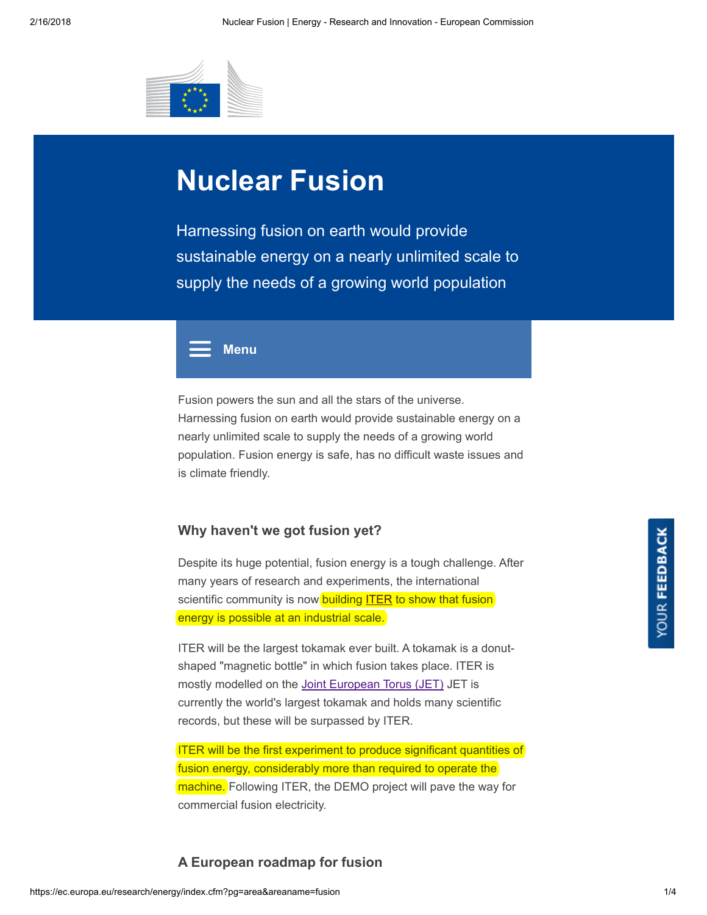

# Nuclear Fusion

Harnessing fusion on earth would provide sustainable energy on a nearly unlimited scale to supply the needs of a growing world population



Fusion powers the sun and all the stars of the universe. Harnessing fusion on earth would provide sustainable energy on a nearly unlimited scale to supply the needs of a growing world population. Fusion energy is safe, has no difficult waste issues and is climate friendly.

#### Why haven't we got fusion yet?

Despite its huge potential, fusion energy is a tough challenge. After many years of research and experiments, the international scientific community is now building [ITER](https://www.iter.org/) to show that fusion energy is possible at an industrial scale.

ITER will be the largest tokamak ever built. A tokamak is a donutshaped "magnetic bottle" in which fusion takes place. ITER is mostly modelled on the Joint [European](https://www.euro-fusion.org/jet/) Torus (JET) JET is currently the world's largest tokamak and holds many scientific records, but these will be surpassed by ITER.

ITER will be the first experiment to produce significant quantities of fusion energy, considerably more than required to operate the machine. Following ITER, the DEMO project will pave the way for commercial fusion electricity.

## A European roadmap for fusion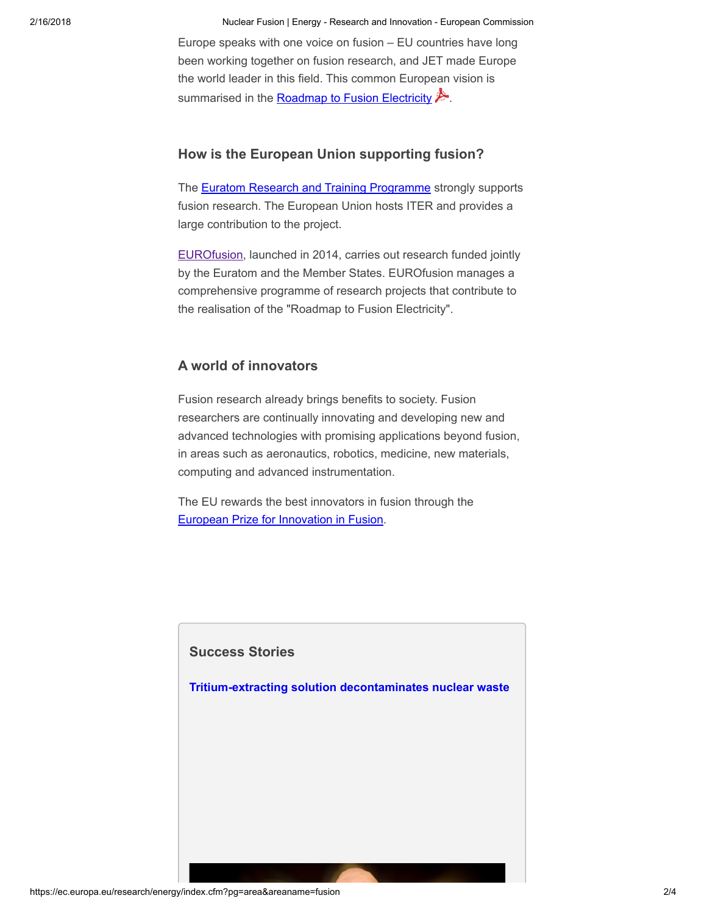2/16/2018 Nuclear Fusion | Energy - Research and Innovation - European Commission

Europe speaks with one voice on fusion – EU countries have long been working together on fusion research, and JET made Europe the world leader in this field. This common European vision is summarised in the [Roadmap](https://www.euro-fusion.org/wpcms/wp-content/uploads/2013/01/JG12.356-web.pdf) to Fusion Electricity  $\mathcal{L}$ .

## How is the European Union supporting fusion?

The **Euratom Research and Training [Programme](https://ec.europa.eu/programmes/horizon2020/en/h2020-section/euratom)** strongly supports fusion research. The European Union hosts ITER and provides a large contribution to the project.

[EUROfusion](https://www.euro-fusion.org/), launched in 2014, carries out research funded jointly by the Euratom and the Member States. EUROfusion manages a comprehensive programme of research projects that contribute to the realisation of the "Roadmap to Fusion Electricity".

### A world of innovators

Fusion research already brings benefits to society. Fusion researchers are continually innovating and developing new and advanced technologies with promising applications beyond fusion, in areas such as aeronautics, robotics, medicine, new materials, computing and advanced instrumentation.

The EU rewards the best innovators in fusion through the European Prize for [Innovation](https://www.euro-fusion.org/newsletter/pushing-the-science-beyond-fusion/) in Fusion.